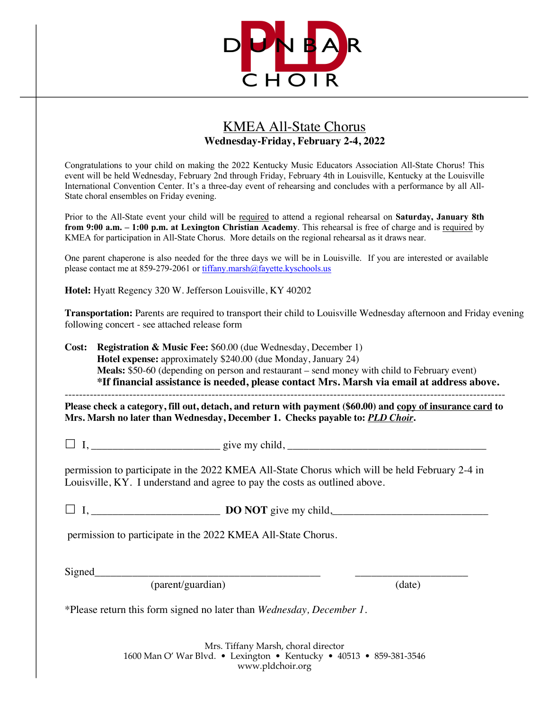

## KMEA All-State Chorus **Wednesday-Friday, February 2-4, 2022**

Congratulations to your child on making the 2022 Kentucky Music Educators Association All-State Chorus! This event will be held Wednesday, February 2nd through Friday, February 4th in Louisville, Kentucky at the Louisville International Convention Center. It's a three-day event of rehearsing and concludes with a performance by all All-State choral ensembles on Friday evening.

Prior to the All-State event your child will be required to attend a regional rehearsal on **Saturday, January 8th from 9:00 a.m. – 1:00 p.m. at Lexington Christian Academy**. This rehearsal is free of charge and is required by KMEA for participation in All-State Chorus. More details on the regional rehearsal as it draws near.

One parent chaperone is also needed for the three days we will be in Louisville. If you are interested or available please contact me at 859-279-2061 or tiffany.marsh@fayette.kyschools.us

**Hotel:** Hyatt Regency 320 W. Jefferson Louisville, KY 40202

**Transportation:** Parents are required to transport their child to Louisville Wednesday afternoon and Friday evening following concert - see attached release form

**Cost: Registration & Music Fee:** \$60.00 (due Wednesday, December 1) **Hotel expense:** approximately \$240.00 (due Monday, January 24) **Meals:** \$50-60 (depending on person and restaurant – send money with child to February event) **\*If financial assistance is needed, please contact Mrs. Marsh via email at address above.** ---------------------------------------------------------------------------------------------------------------------------

**Please check a category, fill out, detach, and return with payment (\$60.00) and copy of insurance card to Mrs. Marsh no later than Wednesday, December 1. Checks payable to:** *PLD Choir***.**

 $\Box$  I, give my child,

permission to participate in the 2022 KMEA All-State Chorus which will be held February 2-4 in Louisville, KY. I understand and agree to pay the costs as outlined above.

£ I, \_\_\_\_\_\_\_\_\_\_\_\_\_\_\_\_\_\_\_\_\_\_\_\_ **DO NOT** give my child,\_\_\_\_\_\_\_\_\_\_\_\_\_\_\_\_\_\_\_\_\_\_\_\_\_\_\_\_\_

permission to participate in the 2022 KMEA All-State Chorus.

Signed\_\_\_\_\_\_\_\_\_\_\_\_\_\_\_\_\_\_\_\_\_\_\_\_\_\_\_\_\_\_\_\_\_\_\_\_\_\_\_\_\_\_ \_\_\_\_\_\_\_\_\_\_\_\_\_\_\_\_\_\_\_\_\_

(parent/guardian) (date)

\*Please return this form signed no later than *Wednesday, December 1.*

Mrs. Tiffany Marsh, choral director 1600 Man O' War Blvd. • Lexington • Kentucky • 40513 • 859-381-3546 www.pldchoir.org